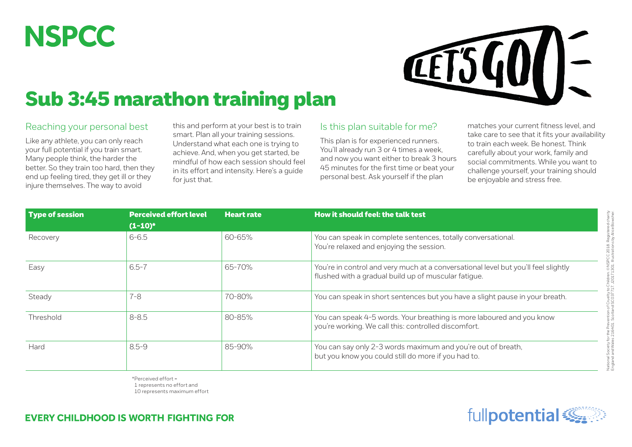## **NSPCC**



## Sub 3:45 marathon training plan

## Reaching your personal best

Like any athlete, you can only reach your full potential if you train smart. Many people think, the harder the better. So they train too hard, then they end up feeling tired, they get ill or they injure themselves. The way to avoid

this and perform at your best is to train smart. Plan all your training sessions. Understand what each one is trying to achieve. And, when you get started, be mindful of how each session should feel in its effort and intensity. Here's a guide for just that.

## Is this plan suitable for me?

This plan is for experienced runners. You'll already run 3 or 4 times a week, and now you want either to break 3 hours 45 minutes for the first time or beat your personal best. Ask yourself if the plan

matches your current fitness level, and take care to see that it fits your availability to train each week. Be honest. Think carefully about your work, family and social commitments. While you want to challenge yourself, your training should be enjoyable and stress free.

| Type of session | <b>Perceived effort level</b><br>$(1-10)^*$ | <b>Heart rate</b> | How it should feel: the talk test                                                                                                          |  |  |
|-----------------|---------------------------------------------|-------------------|--------------------------------------------------------------------------------------------------------------------------------------------|--|--|
| Recovery        | $6 - 6.5$                                   | 60-65%            | You can speak in complete sentences, totally conversational.<br>You're relaxed and enjoying the session.                                   |  |  |
| Easy            | $6.5 - 7$                                   | 65-70%            | You're in control and very much at a conversational level but you'll feel slightly<br>flushed with a gradual build up of muscular fatigue. |  |  |
| Steady          | 7-8                                         | 70-80%            | You can speak in short sentences but you have a slight pause in your breath.                                                               |  |  |
| Threshold       | $8 - 8.5$                                   | 80-85%            | You can speak 4-5 words. Your breathing is more laboured and you know<br>you're working. We call this: controlled discomfort.              |  |  |
| Hard            | $8.5 - 9$                                   | 85-90%            | You can say only 2-3 words maximum and you're out of breath,<br>but you know you could still do more if you had to.                        |  |  |

\*Perceived effort = 1 represents no effort and 10 represents maximum effort

**EVERY CHILDHOOD IS WORTH FIGHTING FOR** 

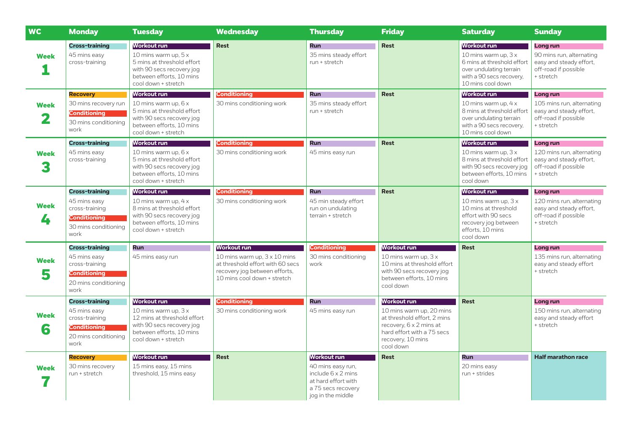| <b>WC</b>        | <b>Monday</b>                                                                                                  | <b>Tuesday</b>                                                                                                                                                  | <b>Wednesday</b>                                                                                                                                              | <b>Thursday</b>                                                                                                                        | <b>Friday</b>                                                                                                                                                     | <b>Saturday</b>                                                                                                                                             | <b>Sunday</b>                                                                                                |
|------------------|----------------------------------------------------------------------------------------------------------------|-----------------------------------------------------------------------------------------------------------------------------------------------------------------|---------------------------------------------------------------------------------------------------------------------------------------------------------------|----------------------------------------------------------------------------------------------------------------------------------------|-------------------------------------------------------------------------------------------------------------------------------------------------------------------|-------------------------------------------------------------------------------------------------------------------------------------------------------------|--------------------------------------------------------------------------------------------------------------|
| <b>Week</b>      | <b>Cross-training</b><br>45 mins easy<br>cross-training                                                        | Workout run<br>10 mins warm up, $5 \times$<br>5 mins at threshold effort<br>with 90 secs recovery jog<br>between efforts, 10 mins<br>cool down + stretch        | <b>Rest</b>                                                                                                                                                   | <b>Run</b><br>35 mins steady effort<br>run + stretch                                                                                   | <b>Rest</b>                                                                                                                                                       | <b>Workout run</b><br>10 mins warm up, $3x$<br>6 mins at threshold effort<br>over undulating terrain<br>with a 90 secs recovery.<br>10 mins cool down       | Long run<br>90 mins run, alternating<br>easy and steady effort,<br>off-road if possible<br>+ stretch         |
| <b>Week</b>      | <b>Recovery</b><br>30 mins recovery run<br><b>Conditioning</b><br>30 mins conditioning<br>work                 | <b>Workout run</b><br>10 mins warm up, 6 x<br>5 mins at threshold effort<br>with 90 secs recovery jog<br>between efforts, 10 mins<br>cool down + stretch        | <b>Conditioning</b><br>30 mins conditioning work                                                                                                              | <b>Run</b><br>35 mins steady effort<br>run + stretch                                                                                   | <b>Rest</b>                                                                                                                                                       | <b>Workout run</b><br>10 mins warm up. $4 \times$<br>8 mins at threshold effort<br>over undulating terrain<br>with a 90 secs recovery.<br>10 mins cool down | <b>Long run</b><br>105 mins run, alternating<br>easy and steady effort,<br>off-road if possible<br>+ stretch |
| <b>Week</b><br>3 | <b>Cross-training</b><br>45 mins easy<br>cross-training                                                        | <b>Workout run</b><br>10 mins warm up, 6 x<br>5 mins at threshold effort<br>with 90 secs recovery jog<br>between efforts, 10 mins<br>cool down + stretch        | <b>Conditioning</b><br>30 mins conditioning work                                                                                                              | <b>Run</b><br>45 mins easy run                                                                                                         | <b>Rest</b>                                                                                                                                                       | <b>Workout run</b><br>10 mins warm up, $3x$<br>8 mins at threshold effort<br>with 90 secs recovery jog<br>between efforts. 10 mins<br>cool down             | Long run<br>120 mins run, alternating<br>easy and steady effort.<br>off-road if possible<br>+ stretch        |
| <b>Week</b><br>4 | <b>Cross-training</b><br>45 mins easy<br>cross-training<br><b>Conditioning</b><br>30 mins conditioning<br>work | <b>Workout run</b><br>10 mins warm up, $4 \times$<br>8 mins at threshold effort<br>with 90 secs recovery jog<br>between efforts, 10 mins<br>cool down + stretch | <b>Conditioning</b><br>30 mins conditioning work                                                                                                              | <b>Run</b><br>45 min steady effort<br>run on undulating<br>terrain + stretch                                                           | <b>Rest</b>                                                                                                                                                       | <b>Workout run</b><br>10 mins warm up, $3x$<br>10 mins at threshold<br>effort with 90 secs<br>recovery jog between<br>efforts, 10 mins<br>cool down         | Long run<br>120 mins run, alternating<br>easy and steady effort.<br>off-road if possible<br>+ stretch        |
| <b>Week</b><br>5 | <b>Cross-training</b><br>45 mins easy<br>cross-training<br><b>Conditioning</b><br>20 mins conditioning<br>work | <b>Run</b><br>45 mins easy run                                                                                                                                  | <b>Workout run</b><br>10 mins warm up, $3 \times 10$ mins<br>at threshold effort with 60 secs<br>recovery jog between efforts,<br>10 mins cool down + stretch | <b>Conditioning</b><br>30 mins conditioning<br>work                                                                                    | <b>Workout run</b><br>10 mins warm up, $3x$<br>10 mins at threshold effort<br>with 90 secs recovery jog<br>between efforts, 10 mins<br>cool down                  | <b>Rest</b>                                                                                                                                                 | Long run<br>135 mins run, alternating<br>easy and steady effort<br>+ stretch                                 |
| <b>Week</b><br>6 | <b>Cross-training</b><br>45 mins easy<br>cross-training<br><b>Conditioning</b><br>20 mins conditioning<br>work | Workout run<br>10 mins warm up, 3 x<br>12 mins at threshold effort<br>with 90 secs recovery jog<br>between efforts, 10 mins<br>cool down + stretch              | <b>Conditioning</b><br>30 mins conditioning work                                                                                                              | <b>Run</b><br>45 mins easy run                                                                                                         | Workout run<br>10 mins warm up, 20 mins<br>at threshold effort. 2 mins<br>recovery, 6 x 2 mins at<br>hard effort with a 75 secs<br>recovery, 10 mins<br>cool down | <b>Rest</b>                                                                                                                                                 | Long run<br>150 mins run, alternating<br>easy and steady effort<br>+ stretch                                 |
| <b>Week</b>      | <b>Recovery</b><br>30 mins recovery<br>run + stretch                                                           | <b>Workout run</b><br>15 mins easy, 15 mins<br>threshold, 15 mins easy                                                                                          | <b>Rest</b>                                                                                                                                                   | <b>Workout run</b><br>40 mins easy run,<br>include $6 \times 2$ mins<br>at hard effort with<br>a 75 secs recovery<br>jog in the middle | <b>Rest</b>                                                                                                                                                       | <b>Run</b><br>20 mins easy<br>run + strides                                                                                                                 | <b>Half marathon race</b>                                                                                    |